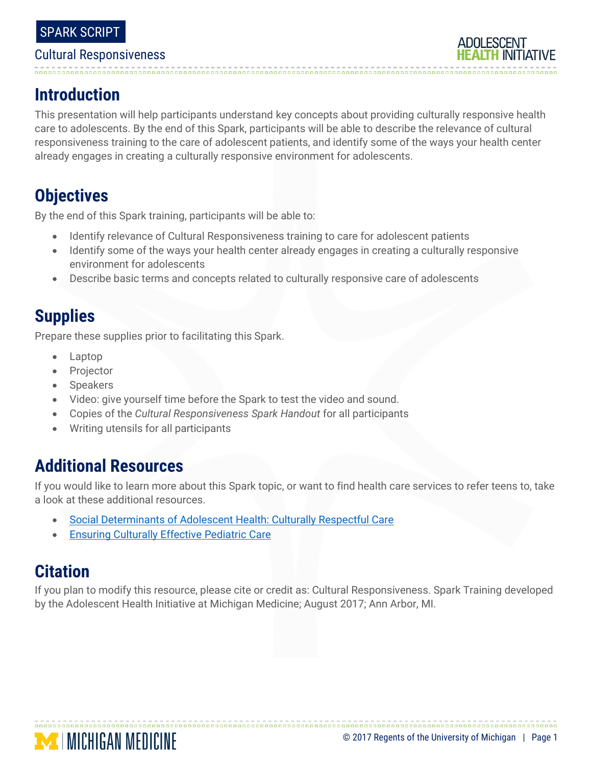# 

# **Introduction**

This presentation will help participants understand key concepts about providing culturally responsive health care to adolescents. By the end of this Spark, participants will be able to describe the relevance of cultural responsiveness training to the care of adolescent patients, and identify some of the ways your health center already engages in creating a culturally responsive environment for adolescents.

# **Objectives**

By the end of this Spark training, participants will be able to:

- Identify relevance of Cultural Responsiveness training to care for adolescent patients
- Identify some of the ways your health center already engages in creating a culturally responsive environment for adolescents
- Describe basic terms and concepts related to culturally responsive care of adolescents

# **Supplies**

Prepare these supplies prior to facilitating this Spark.

- Laptop
- Projector
- Speakers
- Video: give yourself time before the Spark to test the video and sound.
- Copies of the *Cultural Responsiveness Spark Handout* for all participants
- Writing utensils for all participants

# **Additional Resources**

**MINICHIGAN MEDICINE** 

If you would like to learn more about this Spark topic, or want to find health care services to refer teens to, take a look at these additional resources.

- [Social Determinants of Adolescent Health: Culturally Respectful Care](http://www.sbh4all.org/2017/04/social-determinants-adolescent-health-culturally-respectful-care-growing-beyond-competency/)
- **[Ensuring Culturally Effective Pediatric Care](http://pediatrics.aappublications.org/content/114/6/1677)**

# **Citation**

If you plan to modify this resource, please cite or credit as: Cultural Responsiveness. Spark Training developed by the Adolescent Health Initiative at Michigan Medicine; August 2017; Ann Arbor, MI.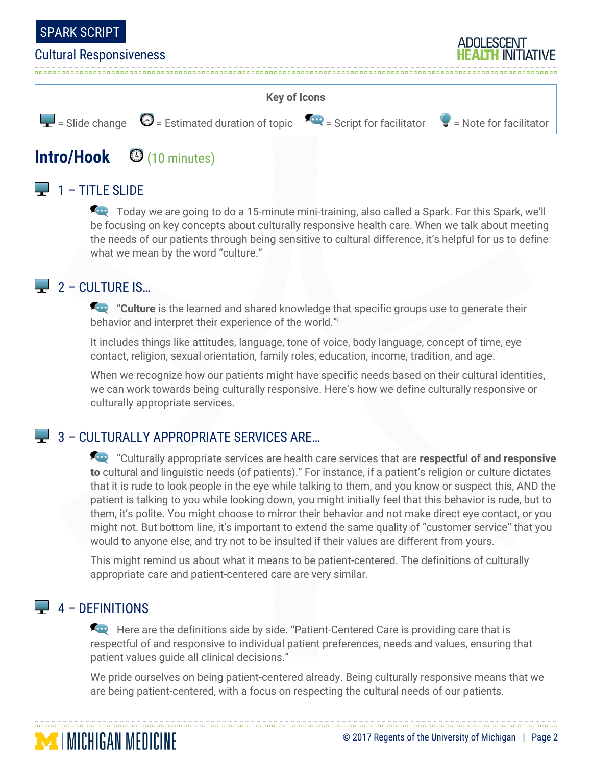



# **Intro/Hook** <sup>(10 minutes)</sup>

# $\Box$  1 – TITLE SLIDE

Today we are going to do a 15-minute mini-training, also called a Spark. For this Spark, we'll be focusing on key concepts about culturally responsive health care. When we talk about meeting the needs of our patients through being sensitive to cultural difference, it's helpful for us to define what we mean by the word "culture."

## $\Box$  2 – CULTURE IS...

**For** "Culture is the learned and shared knowledge that specific groups use to generate their behavior and interpret their experience of the world."<sup>i</sup>

It includes things like attitudes, language, tone of voice, body language, concept of time, eye contact, religion, sexual orientation, family roles, education, income, tradition, and age.

When we recognize how our patients might have specific needs based on their cultural identities, we can work towards being culturally responsive. Here's how we define culturally responsive or culturally appropriate services.

## 3 - CULTURALLY APPROPRIATE SERVICES ARE...

"Culturally appropriate services are health care services that are **respectful of and responsive to** cultural and linguistic needs (of patients)." For instance, if a patient's religion or culture dictates that it is rude to look people in the eye while talking to them, and you know or suspect this, AND the patient is talking to you while looking down, you might initially feel that this behavior is rude, but to them, it's polite. You might choose to mirror their behavior and not make direct eye contact, or you might not. But bottom line, it's important to extend the same quality of "customer service" that you would to anyone else, and try not to be insulted if their values are different from yours.

This might remind us about what it means to be patient-centered. The definitions of culturally appropriate care and patient-centered care are very similar.

## $\Box$  4 – DEFINITIONS

**MINICHIGAN MEDICINE** 

Here are the definitions side by side. "Patient-Centered Care is providing care that is respectful of and responsive to individual patient preferences, needs and values, ensuring that patient values guide all clinical decisions."

We pride ourselves on being patient-centered already. Being culturally responsive means that we are being patient-centered, with a focus on respecting the cultural needs of our patients.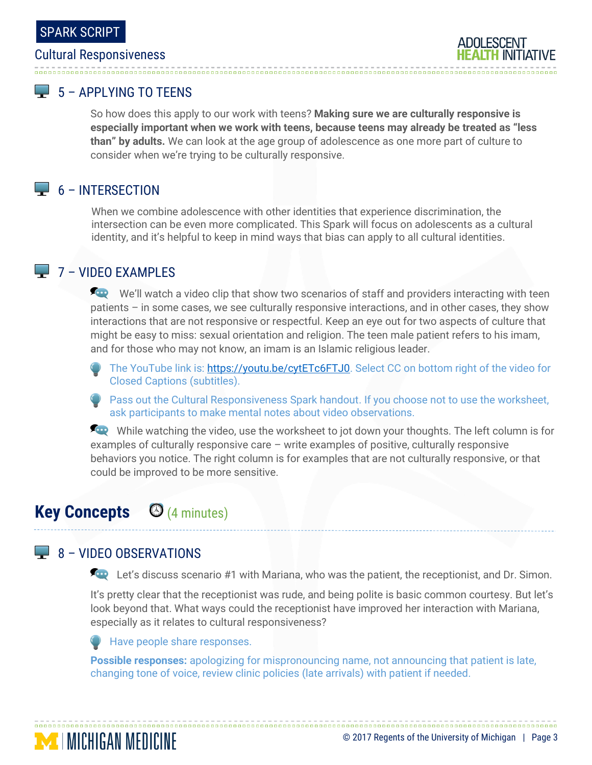#### $\Box$  5 – APPI YING TO TFFNS

So how does this apply to our work with teens? **Making sure we are culturally responsive is especially important when we work with teens, because teens may already be treated as "less than" by adults.** We can look at the age group of adolescence as one more part of culture to consider when we're trying to be culturally responsive.

## $\Box$  6 – INTERSECTION

When we combine adolescence with other identities that experience discrimination, the intersection can be even more complicated. This Spark will focus on adolescents as a cultural identity, and it's helpful to keep in mind ways that bias can apply to all cultural identities.

## $\Box$  7 – VIDEO EXAMPLES

We'll watch a video clip that show two scenarios of staff and providers interacting with teen patients – in some cases, we see culturally responsive interactions, and in other cases, they show interactions that are not responsive or respectful. Keep an eye out for two aspects of culture that might be easy to miss: sexual orientation and religion. The teen male patient refers to his imam, and for those who may not know, an imam is an Islamic religious leader.

The YouTube link is: [https://youtu.be/cytETc6FTJ0.](https://youtu.be/cytETc6FTJ0) Select CC on bottom right of the video for Closed Captions (subtitles).

**Pass out the Cultural Responsiveness Spark handout. If you choose not to use the worksheet,** ask participants to make mental notes about video observations.

While watching the video, use the worksheet to jot down your thoughts. The left column is for examples of culturally responsive care – write examples of positive, culturally responsive behaviors you notice. The right column is for examples that are not culturally responsive, or that could be improved to be more sensitive.

# **Key Concepts** (4 minutes)

## 8 – VIDEO OBSERVATIONS

**MINICHIGAN MEDICINE** 

**Let's discuss scenario #1 with Mariana, who was the patient, the receptionist, and Dr. Simon.** 

It's pretty clear that the receptionist was rude, and being polite is basic common courtesy. But let's look beyond that. What ways could the receptionist have improved her interaction with Mariana, especially as it relates to cultural responsiveness?

Have people share responses.

**Possible responses:** apologizing for mispronouncing name, not announcing that patient is late, changing tone of voice, review clinic policies (late arrivals) with patient if needed.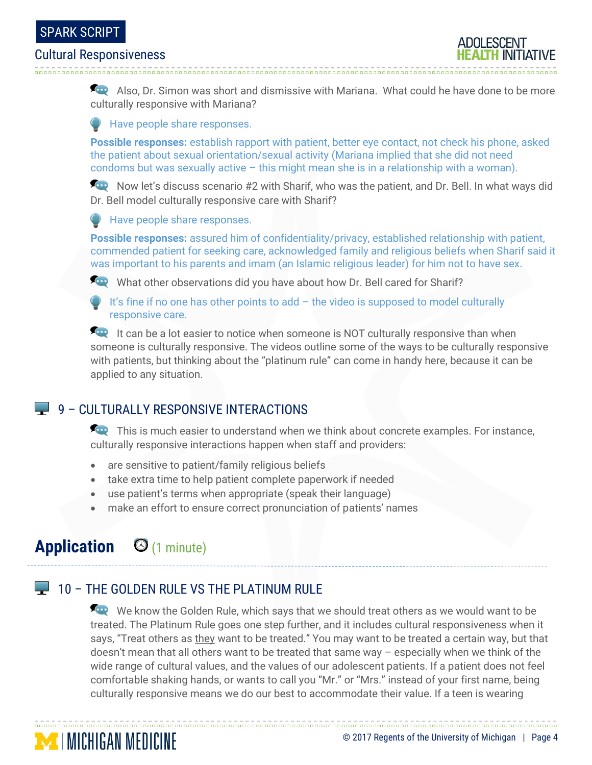#### SPARK SCRIPT

#### Cultural Responsiveness

Also, Dr. Simon was short and dismissive with Mariana. What could he have done to be more culturally responsive with Mariana?

**Have people share responses.** 

**Possible responses:** establish rapport with patient, better eye contact, not check his phone, asked the patient about sexual orientation/sexual activity (Mariana implied that she did not need condoms but was sexually active – this might mean she is in a relationship with a woman).

Now let's discuss scenario #2 with Sharif, who was the patient, and Dr. Bell. In what ways did Dr. Bell model culturally responsive care with Sharif?

**Have people share responses.** 

**Possible responses:** assured him of confidentiality/privacy, established relationship with patient, commended patient for seeking care, acknowledged family and religious beliefs when Sharif said it was important to his parents and imam (an Islamic religious leader) for him not to have sex.

What other observations did you have about how Dr. Bell cared for Sharif?

It's fine if no one has other points to  $add - the$  video is supposed to model culturally responsive care.

It can be a lot easier to notice when someone is NOT culturally responsive than when someone is culturally responsive. The videos outline some of the ways to be culturally responsive with patients, but thinking about the "platinum rule" can come in handy here, because it can be applied to any situation.

## 9 – CULTURALLY RESPONSIVE INTERACTIONS

This is much easier to understand when we think about concrete examples. For instance, culturally responsive interactions happen when staff and providers:

- are sensitive to patient/family religious beliefs
- take extra time to help patient complete paperwork if needed
- use patient's terms when appropriate (speak their language)
- make an effort to ensure correct pronunciation of patients' names

# **Application** (1 minute)

**MINICHIGAN MEDICINE** 

## **10 – THE GOLDEN RULE VS THE PLATINUM RULE**

We know the Golden Rule, which says that we should treat others as we would want to be treated. The Platinum Rule goes one step further, and it includes cultural responsiveness when it says, "Treat others as they want to be treated." You may want to be treated a certain way, but that doesn't mean that all others want to be treated that same way – especially when we think of the wide range of cultural values, and the values of our adolescent patients. If a patient does not feel comfortable shaking hands, or wants to call you "Mr." or "Mrs." instead of your first name, being culturally responsive means we do our best to accommodate their value. If a teen is wearing